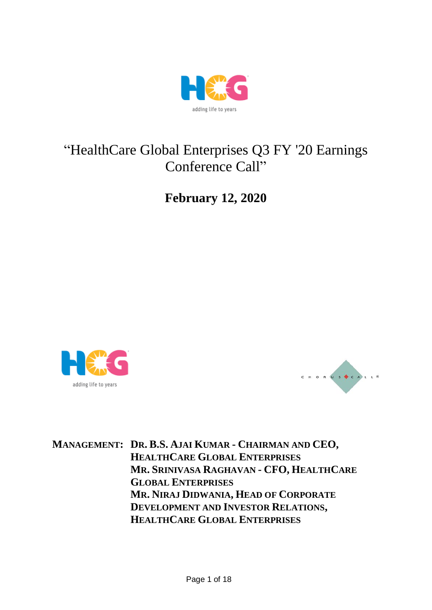

## "HealthCare Global Enterprises Q3 FY '20 Earnings Conference Call"

**February 12, 2020**





**MANAGEMENT: DR. B.S. AJAI KUMAR - CHAIRMAN AND CEO, HEALTHCARE GLOBAL ENTERPRISES MR. SRINIVASA RAGHAVAN - CFO, HEALTHCARE GLOBAL ENTERPRISES MR. NIRAJ DIDWANIA, HEAD OF CORPORATE DEVELOPMENT AND INVESTOR RELATIONS, HEALTHCARE GLOBAL ENTERPRISES**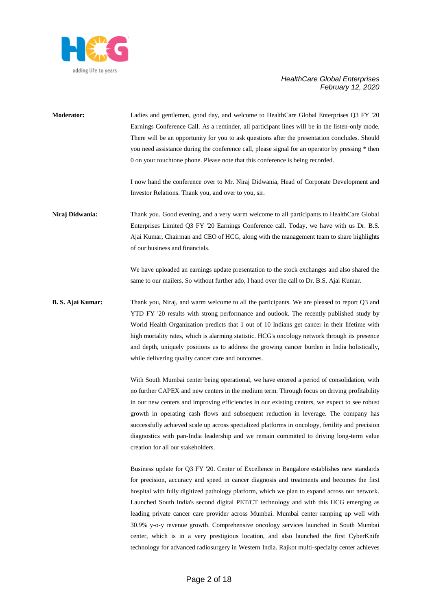

**Moderator:** Ladies and gentlemen, good day, and welcome to HealthCare Global Enterprises Q3 FY '20 Earnings Conference Call. As a reminder, all participant lines will be in the listen-only mode. There will be an opportunity for you to ask questions after the presentation concludes. Should you need assistance during the conference call, please signal for an operator by pressing \* then 0 on your touchtone phone. Please note that this conference is being recorded.

> I now hand the conference over to Mr. Niraj Didwania, Head of Corporate Development and Investor Relations. Thank you, and over to you, sir.

**Niraj Didwania:** Thank you. Good evening, and a very warm welcome to all participants to HealthCare Global Enterprises Limited Q3 FY '20 Earnings Conference call. Today, we have with us Dr. B.S. Ajai Kumar, Chairman and CEO of HCG, along with the management team to share highlights of our business and financials.

> We have uploaded an earnings update presentation to the stock exchanges and also shared the same to our mailers. So without further ado, I hand over the call to Dr. B.S. Ajai Kumar.

### **B. S. Ajai Kumar:** Thank you, Niraj, and warm welcome to all the participants. We are pleased to report Q3 and YTD FY '20 results with strong performance and outlook. The recently published study by World Health Organization predicts that 1 out of 10 Indians get cancer in their lifetime with high mortality rates, which is alarming statistic. HCG's oncology network through its presence and depth, uniquely positions us to address the growing cancer burden in India holistically, while delivering quality cancer care and outcomes.

With South Mumbai center being operational, we have entered a period of consolidation, with no further CAPEX and new centers in the medium term. Through focus on driving profitability in our new centers and improving efficiencies in our existing centers, we expect to see robust growth in operating cash flows and subsequent reduction in leverage. The company has successfully achieved scale up across specialized platforms in oncology, fertility and precision diagnostics with pan-India leadership and we remain committed to driving long-term value creation for all our stakeholders.

Business update for Q3 FY '20. Center of Excellence in Bangalore establishes new standards for precision, accuracy and speed in cancer diagnosis and treatments and becomes the first hospital with fully digitized pathology platform, which we plan to expand across our network. Launched South India's second digital PET/CT technology and with this HCG emerging as leading private cancer care provider across Mumbai. Mumbai center ramping up well with 30.9% y-o-y revenue growth. Comprehensive oncology services launched in South Mumbai center, which is in a very prestigious location, and also launched the first CyberKnife technology for advanced radiosurgery in Western India. Rajkot multi-specialty center achieves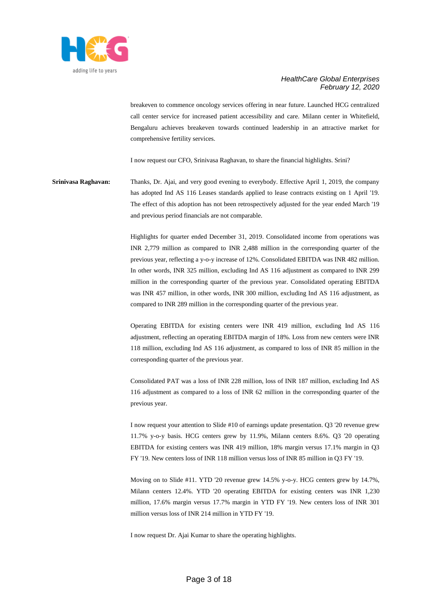

breakeven to commence oncology services offering in near future. Launched HCG centralized call center service for increased patient accessibility and care. Milann center in Whitefield, Bengaluru achieves breakeven towards continued leadership in an attractive market for comprehensive fertility services.

I now request our CFO, Srinivasa Raghavan, to share the financial highlights. Srini?

**Srinivasa Raghavan:** Thanks, Dr. Ajai, and very good evening to everybody. Effective April 1, 2019, the company has adopted Ind AS 116 Leases standards applied to lease contracts existing on 1 April '19. The effect of this adoption has not been retrospectively adjusted for the year ended March '19 and previous period financials are not comparable.

> Highlights for quarter ended December 31, 2019. Consolidated income from operations was INR 2,779 million as compared to INR 2,488 million in the corresponding quarter of the previous year, reflecting a y-o-y increase of 12%. Consolidated EBITDA was INR 482 million. In other words, INR 325 million, excluding Ind AS 116 adjustment as compared to INR 299 million in the corresponding quarter of the previous year. Consolidated operating EBITDA was INR 457 million, in other words, INR 300 million, excluding Ind AS 116 adjustment, as compared to INR 289 million in the corresponding quarter of the previous year.

> Operating EBITDA for existing centers were INR 419 million, excluding Ind AS 116 adjustment, reflecting an operating EBITDA margin of 18%. Loss from new centers were INR 118 million, excluding Ind AS 116 adjustment, as compared to loss of INR 85 million in the corresponding quarter of the previous year.

> Consolidated PAT was a loss of INR 228 million, loss of INR 187 million, excluding Ind AS 116 adjustment as compared to a loss of INR 62 million in the corresponding quarter of the previous year.

> I now request your attention to Slide #10 of earnings update presentation. Q3 '20 revenue grew 11.7% y-o-y basis. HCG centers grew by 11.9%, Milann centers 8.6%. Q3 '20 operating EBITDA for existing centers was INR 419 million, 18% margin versus 17.1% margin in Q3 FY '19. New centers loss of INR 118 million versus loss of INR 85 million in Q3 FY '19.

> Moving on to Slide #11. YTD '20 revenue grew 14.5% y-o-y. HCG centers grew by 14.7%, Milann centers 12.4%. YTD '20 operating EBITDA for existing centers was INR 1,230 million, 17.6% margin versus 17.7% margin in YTD FY '19. New centers loss of INR 301 million versus loss of INR 214 million in YTD FY '19.

I now request Dr. Ajai Kumar to share the operating highlights.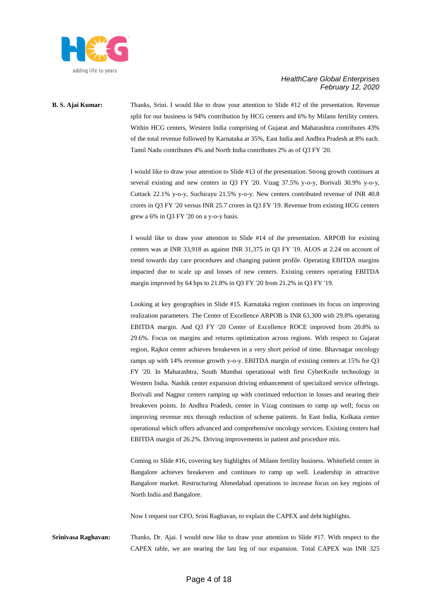

# **B. S. Ajai Kumar:** Thanks, Srini. I would like to draw your attention to Slide #12 of the presentation. Revenue

split for our business is 94% contribution by HCG centers and 6% by Milann fertility centers. Within HCG centers, Western India comprising of Gujarat and Maharashtra contributes 43% of the total revenue followed by Karnataka at 35%, East India and Andhra Pradesh at 8% each. Tamil Nadu contributes 4% and North India contributes 2% as of Q3 FY '20.

I would like to draw your attention to Slide #13 of the presentation. Strong growth continues at several existing and new centers in Q3 FY '20. Vizag 37.5% y-o-y, Borivali 30.9% y-o-y, Cuttack 22.1% y-o-y, Suchirayu 21.5% y-o-y. New centers contributed revenue of INR 40.8 crores in Q3 FY '20 versus INR 25.7 crores in Q3 FY '19. Revenue from existing HCG centers grew a 6% in Q3 FY '20 on a y-o-y basis.

I would like to draw your attention to Slide #14 of the presentation. ARPOB for existing centers was at INR 33,918 as against INR 31,375 in Q3 FY '19. ALOS at 2.24 on account of trend towards day care procedures and changing patient profile. Operating EBITDA margins impacted due to scale up and losses of new centers. Existing centers operating EBITDA margin improved by 64 bps to 21.8% in Q3 FY '20 from 21.2% in Q3 FY '19.

Looking at key geographies in Slide #15. Karnataka region continues its focus on improving realization parameters. The Center of Excellence ARPOB is INR 63,300 with 29.8% operating EBITDA margin. And Q3 FY '20 Center of Excellence ROCE improved from 20.8% to 29.6%. Focus on margins and returns optimization across regions. With respect to Gujarat region, Rajkot center achieves breakeven in a very short period of time. Bhavnagar oncology ramps up with 14% revenue growth y-o-y. EBITDA margin of existing centers at 15% for Q3 FY '20. In Maharashtra, South Mumbai operational with first CyberKnife technology in Western India. Nashik center expansion driving enhancement of specialized service offerings. Borivali and Nagpur centers ramping up with continued reduction in losses and nearing their breakeven points. In Andhra Pradesh, center in Vizag continues to ramp up well; focus on improving revenue mix through reduction of scheme patients. In East India, Kolkata center operational which offers advanced and comprehensive oncology services. Existing centers had EBITDA margin of 26.2%. Driving improvements in patient and procedure mix.

Coming to Slide #16, covering key highlights of Milann fertility business. Whitefield center in Bangalore achieves breakeven and continues to ramp up well. Leadership in attractive Bangalore market. Restructuring Ahmedabad operations to increase focus on key regions of North India and Bangalore.

Now I request our CFO, Srini Raghavan, to explain the CAPEX and debt highlights.

**Srinivasa Raghavan:** Thanks, Dr. Ajai. I would now like to draw your attention to Slide #17. With respect to the CAPEX table, we are nearing the last leg of our expansion. Total CAPEX was INR 325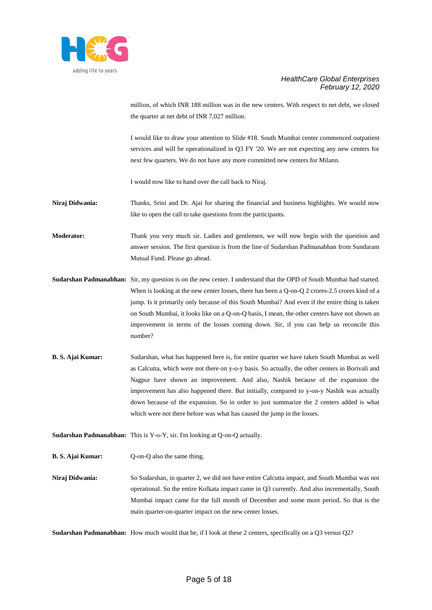

million, of which INR 188 million was in the new centers. With respect to net debt, we closed the quarter at net debt of INR 7,027 million.

I would like to draw your attention to Slide #18. South Mumbai center commenced outpatient services and will be operationalized in Q3 FY '20. We are not expecting any new centers for next few quarters. We do not have any more committed new centers for Milann.

I would now like to hand over the call back to Niraj.

**Niraj Didwania:** Thanks, Srini and Dr. Ajai for sharing the financial and business highlights. We would now like to open the call to take questions from the participants.

**Moderator:** Thank you very much sir. Ladies and gentlemen, we will now begin with the question and answer session. The first question is from the line of Sudarshan Padmanabhan from Sundaram Mutual Fund. Please go ahead.

- **Sudarshan Padmanabhan:** Sir, my question is on the new center. I understand that the OPD of South Mumbai had started. When is looking at the new center losses, there has been a Q-on-Q 2 crores-2.5 crores kind of a jump. Is it primarily only because of this South Mumbai? And even if the entire thing is taken on South Mumbai, it looks like on a Q-on-Q basis, I mean, the other centers have not shown an improvement in terms of the losses coming down. Sir, if you can help us reconcile this number?
- **B. S. Ajai Kumar:** Sudarshan, what has happened here is, for entire quarter we have taken South Mumbai as well as Calcutta, which were not there on y-o-y basis. So actually, the other centers in Borivali and Nagpur have shown an improvement. And also, Nashik because of the expansion the improvement has also happened there. But initially, compared to y-on-y Nashik was actually down because of the expansion. So in order to just summarize the 2 centers added is what which were not there before was what has caused the jump in the losses.

**Sudarshan Padmanabhan:** This is Y-o-Y, sir. I'm looking at Q-on-Q actually.

**B. S. Ajai Kumar:** Q-on-Q also the same thing.

**Niraj Didwania:** So Sudarshan, in quarter 2, we did not have entire Calcutta impact, and South Mumbai was not operational. So the entire Kolkata impact came in Q3 currently. And also incrementally, South Mumbai impact came for the full month of December and some more period. So that is the main quarter-on-quarter impact on the new center losses.

**Sudarshan Padmanabhan:** How much would that be, if I look at these 2 centers, specifically on a Q3 versus Q2?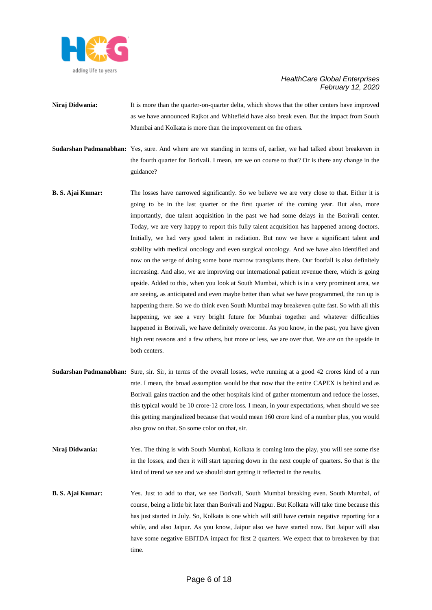

- **Niraj Didwania:** It is more than the quarter-on-quarter delta, which shows that the other centers have improved as we have announced Rajkot and Whitefield have also break even. But the impact from South Mumbai and Kolkata is more than the improvement on the others.
- **Sudarshan Padmanabhan:** Yes, sure. And where are we standing in terms of, earlier, we had talked about breakeven in the fourth quarter for Borivali. I mean, are we on course to that? Or is there any change in the guidance?
- **B. S. Ajai Kumar:** The losses have narrowed significantly. So we believe we are very close to that. Either it is going to be in the last quarter or the first quarter of the coming year. But also, more importantly, due talent acquisition in the past we had some delays in the Borivali center. Today, we are very happy to report this fully talent acquisition has happened among doctors. Initially, we had very good talent in radiation. But now we have a significant talent and stability with medical oncology and even surgical oncology. And we have also identified and now on the verge of doing some bone marrow transplants there. Our footfall is also definitely increasing. And also, we are improving our international patient revenue there, which is going upside. Added to this, when you look at South Mumbai, which is in a very prominent area, we are seeing, as anticipated and even maybe better than what we have programmed, the run up is happening there. So we do think even South Mumbai may breakeven quite fast. So with all this happening, we see a very bright future for Mumbai together and whatever difficulties happened in Borivali, we have definitely overcome. As you know, in the past, you have given high rent reasons and a few others, but more or less, we are over that. We are on the upside in both centers.
- Sudarshan Padmanabhan: Sure, sir. Sir, in terms of the overall losses, we're running at a good 42 crores kind of a run rate. I mean, the broad assumption would be that now that the entire CAPEX is behind and as Borivali gains traction and the other hospitals kind of gather momentum and reduce the losses, this typical would be 10 crore-12 crore loss. I mean, in your expectations, when should we see this getting marginalized because that would mean 160 crore kind of a number plus, you would also grow on that. So some color on that, sir.
- **Niraj Didwania:** Yes. The thing is with South Mumbai, Kolkata is coming into the play, you will see some rise in the losses, and then it will start tapering down in the next couple of quarters. So that is the kind of trend we see and we should start getting it reflected in the results.
- **B. S. Ajai Kumar:** Yes. Just to add to that, we see Borivali, South Mumbai breaking even. South Mumbai, of course, being a little bit later than Borivali and Nagpur. But Kolkata will take time because this has just started in July. So, Kolkata is one which will still have certain negative reporting for a while, and also Jaipur. As you know, Jaipur also we have started now. But Jaipur will also have some negative EBITDA impact for first 2 quarters. We expect that to breakeven by that time.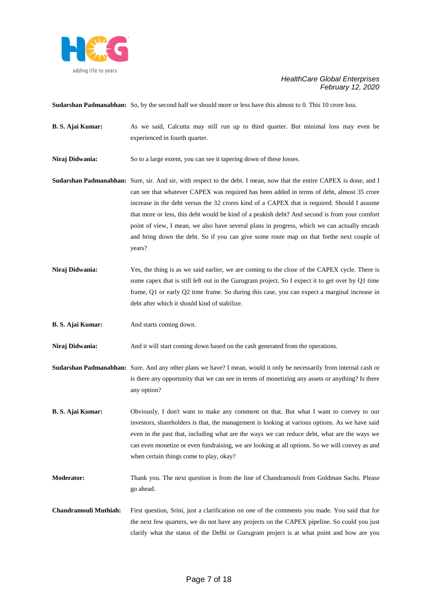

**Sudarshan Padmanabhan:** So, by the second half we should more or less have this almost to 0. This 10 crore loss.

- **B. S. Ajai Kumar:** As we said, Calcutta may still run up to third quarter. But minimal loss may even be experienced in fourth quarter.
- **Niraj Didwania:** So to a large extent, you can see it tapering down of these losses.

**Sudarshan Padmanabhan:** Sure, sir. And sir, with respect to the debt. I mean, now that the entire CAPEX is done, and I can see that whatever CAPEX was required has been added in terms of debt, almost 35 crore increase in the debt versus the 32 crores kind of a CAPEX that is required. Should I assume that more or less, this debt would be kind of a peakish debt? And second is from your comfort point of view, I mean, we also have several plans in progress, which we can actually encash and bring down the debt. So if you can give some route map on that forthe next couple of years?

- Niraj Didwania: Yes, the thing is as we said earlier, we are coming to the close of the CAPEX cycle. There is some capex that is still left out in the Gurugram project. So I expect it to get over by Q1 time frame, Q1 or early Q2 time frame. So during this case, you can expect a marginal increase in debt after which it should kind of stabilize.
- **B. S. Ajai Kumar:** And starts coming down.

**Niraj Didwania:** And it will start coming down based on the cash generated from the operations.

- **Sudarshan Padmanabhan:** Sure. And any other plans we have? I mean, would it only be necessarily from internal cash or is there any opportunity that we can see in terms of monetizing any assets or anything? Is there any option?
- **B. S. Ajai Kumar:** Obviously, I don't want to make any comment on that. But what I want to convey to our investors, shareholders is that, the management is looking at various options. As we have said even in the past that, including what are the ways we can reduce debt, what are the ways we can even monetize or even fundraising, we are looking at all options. So we will convey as and when certain things come to play, okay?
- **Moderator:** Thank you. The next question is from the line of Chandramouli from Goldman Sachs. Please go ahead.
- **Chandramouli Muthiah:** First question, Srini, just a clarification on one of the comments you made. You said that for the next few quarters, we do not have any projects on the CAPEX pipeline. So could you just clarify what the status of the Delhi or Gurugram project is at what point and how are you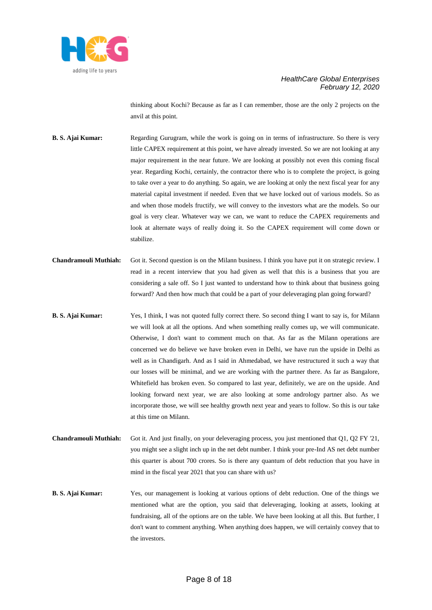

thinking about Kochi? Because as far as I can remember, those are the only 2 projects on the anvil at this point.

- **B. S. Ajai Kumar:** Regarding Gurugram, while the work is going on in terms of infrastructure. So there is very little CAPEX requirement at this point, we have already invested. So we are not looking at any major requirement in the near future. We are looking at possibly not even this coming fiscal year. Regarding Kochi, certainly, the contractor there who is to complete the project, is going to take over a year to do anything. So again, we are looking at only the next fiscal year for any material capital investment if needed. Even that we have locked out of various models. So as and when those models fructify, we will convey to the investors what are the models. So our goal is very clear. Whatever way we can, we want to reduce the CAPEX requirements and look at alternate ways of really doing it. So the CAPEX requirement will come down or stabilize.
- **Chandramouli Muthiah:** Got it. Second question is on the Milann business. I think you have put it on strategic review. I read in a recent interview that you had given as well that this is a business that you are considering a sale off. So I just wanted to understand how to think about that business going forward? And then how much that could be a part of your deleveraging plan going forward?
- **B. S. Ajai Kumar:** Yes, I think, I was not quoted fully correct there. So second thing I want to say is, for Milann we will look at all the options. And when something really comes up, we will communicate. Otherwise, I don't want to comment much on that. As far as the Milann operations are concerned we do believe we have broken even in Delhi, we have run the upside in Delhi as well as in Chandigarh. And as I said in Ahmedabad, we have restructured it such a way that our losses will be minimal, and we are working with the partner there. As far as Bangalore, Whitefield has broken even. So compared to last year, definitely, we are on the upside. And looking forward next year, we are also looking at some andrology partner also. As we incorporate those, we will see healthy growth next year and years to follow. So this is our take at this time on Milann.
- **Chandramouli Muthiah:** Got it. And just finally, on your deleveraging process, you just mentioned that Q1, Q2 FY '21, you might see a slight inch up in the net debt number. I think your pre-Ind AS net debt number this quarter is about 700 crores. So is there any quantum of debt reduction that you have in mind in the fiscal year 2021 that you can share with us?
- **B. S. Ajai Kumar:** Yes, our management is looking at various options of debt reduction. One of the things we mentioned what are the option, you said that deleveraging, looking at assets, looking at fundraising, all of the options are on the table. We have been looking at all this. But further, I don't want to comment anything. When anything does happen, we will certainly convey that to the investors.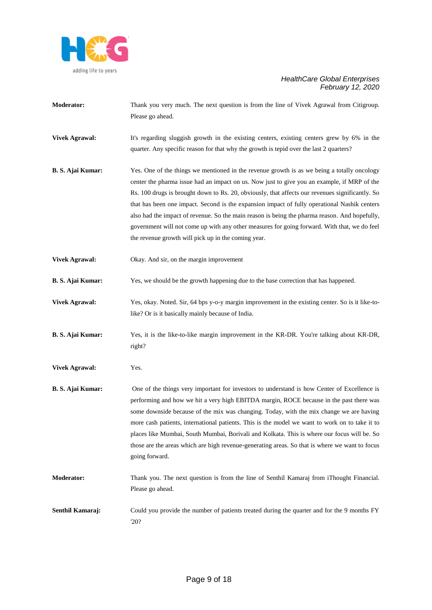

- **Moderator:** Thank you very much. The next question is from the line of Vivek Agrawal from Citigroup. Please go ahead.
- **Vivek Agrawal:** It's regarding sluggish growth in the existing centers, existing centers grew by 6% in the quarter. Any specific reason for that why the growth is tepid over the last 2 quarters?
- **B. S. Ajai Kumar:** Yes. One of the things we mentioned in the revenue growth is as we being a totally oncology center the pharma issue had an impact on us. Now just to give you an example, if MRP of the Rs. 100 drugs is brought down to Rs. 20, obviously, that affects our revenues significantly. So that has been one impact. Second is the expansion impact of fully operational Nashik centers also had the impact of revenue. So the main reason is being the pharma reason. And hopefully, government will not come up with any other measures for going forward. With that, we do feel the revenue growth will pick up in the coming year.
- **Vivek Agrawal:** Okay. And sir, on the margin improvement
- **B. S. Ajai Kumar:** Yes, we should be the growth happening due to the base correction that has happened.

**Vivek Agrawal:** Yes, okay. Noted. Sir, 64 bps y-o-y margin improvement in the existing center. So is it like-tolike? Or is it basically mainly because of India.

- **B. S. Ajai Kumar:** Yes, it is the like-to-like margin improvement in the KR-DR. You're talking about KR-DR, right?
- **Vivek Agrawal:** Yes.
- **B. S. Ajai Kumar:** One of the things very important for investors to understand is how Center of Excellence is performing and how we hit a very high EBITDA margin, ROCE because in the past there was some downside because of the mix was changing. Today, with the mix change we are having more cash patients, international patients. This is the model we want to work on to take it to places like Mumbai, South Mumbai, Borivali and Kolkata. This is where our focus will be. So those are the areas which are high revenue-generating areas. So that is where we want to focus going forward.
- **Moderator:** Thank you. The next question is from the line of Senthil Kamaraj from iThought Financial. Please go ahead.
- **Senthil Kamaraj:** Could you provide the number of patients treated during the quarter and for the 9 months FY '20?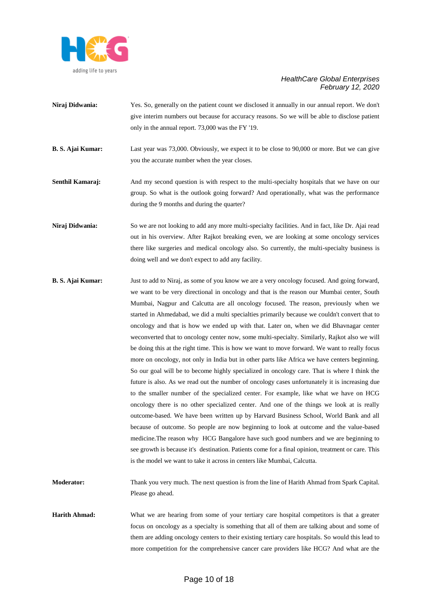

- **Niraj Didwania:** Yes. So, generally on the patient count we disclosed it annually in our annual report. We don't give interim numbers out because for accuracy reasons. So we will be able to disclose patient only in the annual report. 73,000 was the FY '19.
- **B. S. Ajai Kumar:** Last year was 73,000. Obviously, we expect it to be close to 90,000 or more. But we can give you the accurate number when the year closes.
- **Senthil Kamaraj:** And my second question is with respect to the multi-specialty hospitals that we have on our group. So what is the outlook going forward? And operationally, what was the performance during the 9 months and during the quarter?
- **Niraj Didwania:** So we are not looking to add any more multi-specialty facilities. And in fact, like Dr. Ajai read out in his overview. After Rajkot breaking even, we are looking at some oncology services there like surgeries and medical oncology also. So currently, the multi-specialty business is doing well and we don't expect to add any facility.
- **B. S. Ajai Kumar:** Just to add to Niraj, as some of you know we are a very oncology focused. And going forward, we want to be very directional in oncology and that is the reason our Mumbai center, South Mumbai, Nagpur and Calcutta are all oncology focused. The reason, previously when we started in Ahmedabad, we did a multi specialties primarily because we couldn't convert that to oncology and that is how we ended up with that. Later on, when we did Bhavnagar center weconverted that to oncology center now, some multi-specialty. Similarly, Rajkot also we will be doing this at the right time. This is how we want to move forward. We want to really focus more on oncology, not only in India but in other parts like Africa we have centers beginning. So our goal will be to become highly specialized in oncology care. That is where I think the future is also. As we read out the number of oncology cases unfortunately it is increasing due to the smaller number of the specialized center. For example, like what we have on HCG oncology there is no other specialized center. And one of the things we look at is really outcome-based. We have been written up by Harvard Business School, World Bank and all because of outcome. So people are now beginning to look at outcome and the value-based medicine.The reason why HCG Bangalore have such good numbers and we are beginning to see growth is because it's destination. Patients come for a final opinion, treatment or care. This is the model we want to take it across in centers like Mumbai, Calcutta.
- **Moderator:** Thank you very much. The next question is from the line of Harith Ahmad from Spark Capital. Please go ahead.
- **Harith Ahmad:** What we are hearing from some of your tertiary care hospital competitors is that a greater focus on oncology as a specialty is something that all of them are talking about and some of them are adding oncology centers to their existing tertiary care hospitals. So would this lead to more competition for the comprehensive cancer care providers like HCG? And what are the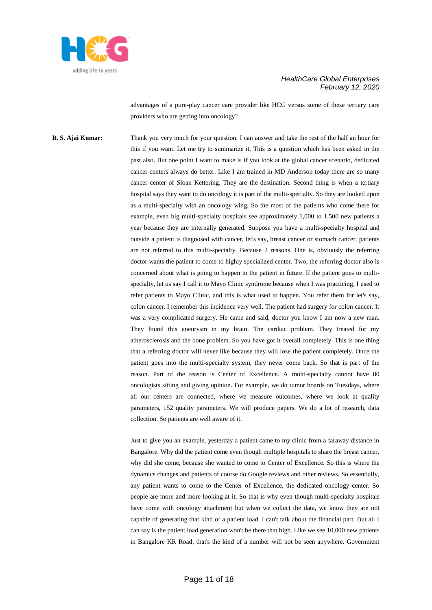

advantages of a pure-play cancer care provider like HCG versus some of these tertiary care providers who are getting into oncology?

**B. S. Ajai Kumar:** Thank you very much for your question. I can answer and take the rest of the half an hour for this if you want. Let me try to summarize it. This is a question which has been asked in the past also. But one point I want to make is if you look at the global cancer scenario, dedicated cancer centers always do better. Like I am trained in MD Anderson today there are so many cancer center of Sloan Kettering. They are the destination. Second thing is when a tertiary hospital says they want to do oncology it is part of the multi-specialty. So they are looked upon as a multi-specialty with an oncology wing. So the most of the patients who come there for example, even big multi-specialty hospitals see approximately 1,000 to 1,500 new patients a year because they are internally generated. Suppose you have a multi-specialty hospital and outside a patient is diagnosed with cancer, let's say, breast cancer or stomach cancer, patients are not referred to this multi-specialty. Because 2 reasons. One is, obviously the referring doctor wants the patient to come to highly specialized center. Two, the referring doctor also is concerned about what is going to happen to the patient in future. If the patient goes to multispecialty, let us say I call it to Mayo Clinic syndrome because when I was practicing, I used to refer patients to Mayo Clinic, and this is what used to happen. You refer them for let's say, colon cancer. I remember this incidence very well. The patient had surgery for colon cancer. It was a very complicated surgery. He came and said, doctor you know I am now a new man. They found this aneurysm in my brain. The cardiac problem. They treated for my atherosclerosis and the bone problem. So you have got it overall completely. This is one thing that a referring doctor will never like because they will lose the patient completely. Once the patient goes into the multi-specialty system, they never come back. So that is part of the reason. Part of the reason is Center of Excellence. A multi-specialty cannot have 80 oncologists sitting and giving opinion. For example, we do tumor boards on Tuesdays, where all our centers are connected, where we measure outcomes, where we look at quality parameters, 152 quality parameters. We will produce papers. We do a lot of research, data collection. So patients are well aware of it.

> Just to give you an example, yesterday a patient came to my clinic from a faraway distance in Bangalore. Why did the patient come even though multiple hospitals to share the breast cancer, why did she come, because she wanted to come to Center of Excellence. So this is where the dynamics changes and patients of course do Google reviews and other reviews. So essentially, any patient wants to come to the Center of Excellence, the dedicated oncology center. So people are more and more looking at it. So that is why even though multi-specialty hospitals have come with oncology attachment but when we collect the data, we know they are not capable of generating that kind of a patient load. I can't talk about the financial part. But all I can say is the patient load generation won't be there that high. Like we see 10,000 new patients in Bangalore KR Road, that's the kind of a number will not be seen anywhere. Government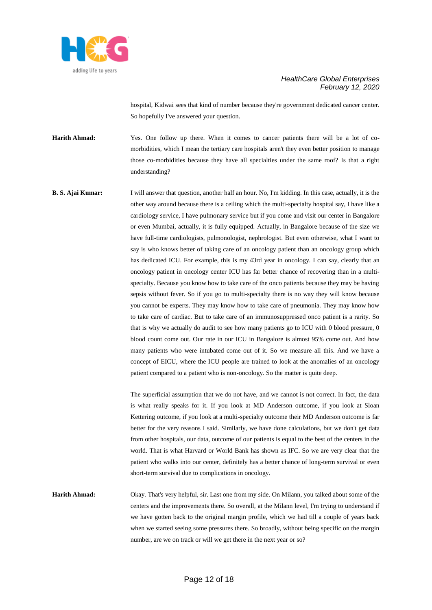

hospital, Kidwai sees that kind of number because they're government dedicated cancer center. So hopefully I've answered your question.

Harith Ahmad: Yes. One follow up there. When it comes to cancer patients there will be a lot of comorbidities, which I mean the tertiary care hospitals aren't they even better position to manage those co-morbidities because they have all specialties under the same roof? Is that a right understanding?

**B. S. Ajai Kumar:** I will answer that question, another half an hour. No, I'm kidding. In this case, actually, it is the other way around because there is a ceiling which the multi-specialty hospital say, I have like a cardiology service, I have pulmonary service but if you come and visit our center in Bangalore or even Mumbai, actually, it is fully equipped. Actually, in Bangalore because of the size we have full-time cardiologists, pulmonologist, nephrologist. But even otherwise, what I want to say is who knows better of taking care of an oncology patient than an oncology group which has dedicated ICU. For example, this is my 43rd year in oncology. I can say, clearly that an oncology patient in oncology center ICU has far better chance of recovering than in a multispecialty. Because you know how to take care of the onco patients because they may be having sepsis without fever. So if you go to multi-specialty there is no way they will know because you cannot be experts. They may know how to take care of pneumonia. They may know how to take care of cardiac. But to take care of an immunosuppressed onco patient is a rarity. So that is why we actually do audit to see how many patients go to ICU with 0 blood pressure, 0 blood count come out. Our rate in our ICU in Bangalore is almost 95% come out. And how many patients who were intubated come out of it. So we measure all this. And we have a concept of EICU, where the ICU people are trained to look at the anomalies of an oncology patient compared to a patient who is non-oncology. So the matter is quite deep.

> The superficial assumption that we do not have, and we cannot is not correct. In fact, the data is what really speaks for it. If you look at MD Anderson outcome, if you look at Sloan Kettering outcome, if you look at a multi-specialty outcome their MD Anderson outcome is far better for the very reasons I said. Similarly, we have done calculations, but we don't get data from other hospitals, our data, outcome of our patients is equal to the best of the centers in the world. That is what Harvard or World Bank has shown as IFC. So we are very clear that the patient who walks into our center, definitely has a better chance of long-term survival or even short-term survival due to complications in oncology.

**Harith Ahmad:** Okay. That's very helpful, sir. Last one from my side. On Milann, you talked about some of the centers and the improvements there. So overall, at the Milann level, I'm trying to understand if we have gotten back to the original margin profile, which we had till a couple of years back when we started seeing some pressures there. So broadly, without being specific on the margin number, are we on track or will we get there in the next year or so?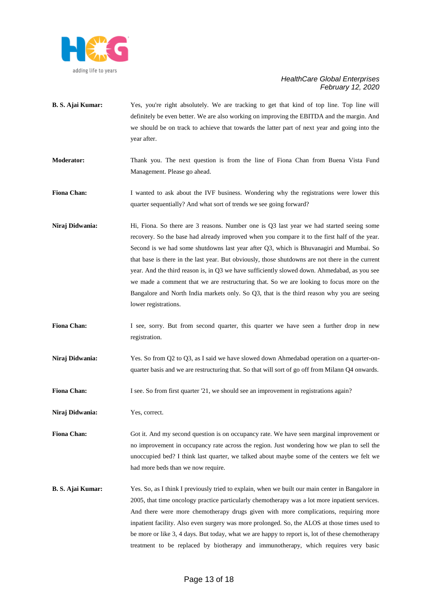

- **B. S. Ajai Kumar:** Yes, you're right absolutely. We are tracking to get that kind of top line. Top line will definitely be even better. We are also working on improving the EBITDA and the margin. And we should be on track to achieve that towards the latter part of next year and going into the year after.
- **Moderator:** Thank you. The next question is from the line of Fiona Chan from Buena Vista Fund Management. Please go ahead.

**Fiona Chan:** I wanted to ask about the IVF business. Wondering why the registrations were lower this quarter sequentially? And what sort of trends we see going forward?

- Niraj Didwania: Hi, Fiona. So there are 3 reasons. Number one is Q3 last year we had started seeing some recovery. So the base had already improved when you compare it to the first half of the year. Second is we had some shutdowns last year after Q3, which is Bhuvanagiri and Mumbai. So that base is there in the last year. But obviously, those shutdowns are not there in the current year. And the third reason is, in Q3 we have sufficiently slowed down. Ahmedabad, as you see we made a comment that we are restructuring that. So we are looking to focus more on the Bangalore and North India markets only. So Q3, that is the third reason why you are seeing lower registrations.
- Fiona Chan: I see, sorry. But from second quarter, this quarter we have seen a further drop in new registration.
- **Niraj Didwania:** Yes. So from Q2 to Q3, as I said we have slowed down Ahmedabad operation on a quarter-onquarter basis and we are restructuring that. So that will sort of go off from Milann Q4 onwards.
- **Fiona Chan:** I see. So from first quarter '21, we should see an improvement in registrations again?

**Niraj Didwania:** Yes, correct.

**Fiona Chan:** Got it. And my second question is on occupancy rate. We have seen marginal improvement or no improvement in occupancy rate across the region. Just wondering how we plan to sell the unoccupied bed? I think last quarter, we talked about maybe some of the centers we felt we had more beds than we now require.

**B. S. Ajai Kumar:** Yes. So, as I think I previously tried to explain, when we built our main center in Bangalore in 2005, that time oncology practice particularly chemotherapy was a lot more inpatient services. And there were more chemotherapy drugs given with more complications, requiring more inpatient facility. Also even surgery was more prolonged. So, the ALOS at those times used to be more or like 3, 4 days. But today, what we are happy to report is, lot of these chemotherapy treatment to be replaced by biotherapy and immunotherapy, which requires very basic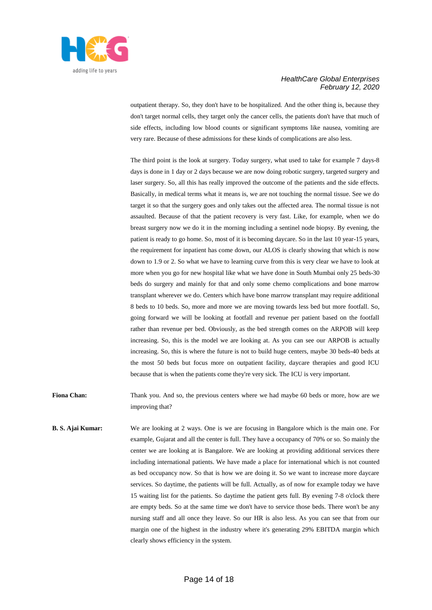

outpatient therapy. So, they don't have to be hospitalized. And the other thing is, because they don't target normal cells, they target only the cancer cells, the patients don't have that much of side effects, including low blood counts or significant symptoms like nausea, vomiting are very rare. Because of these admissions for these kinds of complications are also less.

The third point is the look at surgery. Today surgery, what used to take for example 7 days-8 days is done in 1 day or 2 days because we are now doing robotic surgery, targeted surgery and laser surgery. So, all this has really improved the outcome of the patients and the side effects. Basically, in medical terms what it means is, we are not touching the normal tissue. See we do target it so that the surgery goes and only takes out the affected area. The normal tissue is not assaulted. Because of that the patient recovery is very fast. Like, for example, when we do breast surgery now we do it in the morning including a sentinel node biopsy. By evening, the patient is ready to go home. So, most of it is becoming daycare. So in the last 10 year-15 years, the requirement for inpatient has come down, our ALOS is clearly showing that which is now down to 1.9 or 2. So what we have to learning curve from this is very clear we have to look at more when you go for new hospital like what we have done in South Mumbai only 25 beds-30 beds do surgery and mainly for that and only some chemo complications and bone marrow transplant wherever we do. Centers which have bone marrow transplant may require additional 8 beds to 10 beds. So, more and more we are moving towards less bed but more footfall. So, going forward we will be looking at footfall and revenue per patient based on the footfall rather than revenue per bed. Obviously, as the bed strength comes on the ARPOB will keep increasing. So, this is the model we are looking at. As you can see our ARPOB is actually increasing. So, this is where the future is not to build huge centers, maybe 30 beds-40 beds at the most 50 beds but focus more on outpatient facility, daycare therapies and good ICU because that is when the patients come they're very sick. The ICU is very important.

**Fiona Chan:** Thank you. And so, the previous centers where we had maybe 60 beds or more, how are we improving that?

**B. S. Ajai Kumar:** We are looking at 2 ways. One is we are focusing in Bangalore which is the main one. For example, Gujarat and all the center is full. They have a occupancy of 70% or so. So mainly the center we are looking at is Bangalore. We are looking at providing additional services there including international patients. We have made a place for international which is not counted as bed occupancy now. So that is how we are doing it. So we want to increase more daycare services. So daytime, the patients will be full. Actually, as of now for example today we have 15 waiting list for the patients. So daytime the patient gets full. By evening 7-8 o'clock there are empty beds. So at the same time we don't have to service those beds. There won't be any nursing staff and all once they leave. So our HR is also less. As you can see that from our margin one of the highest in the industry where it's generating 29% EBITDA margin which clearly shows efficiency in the system.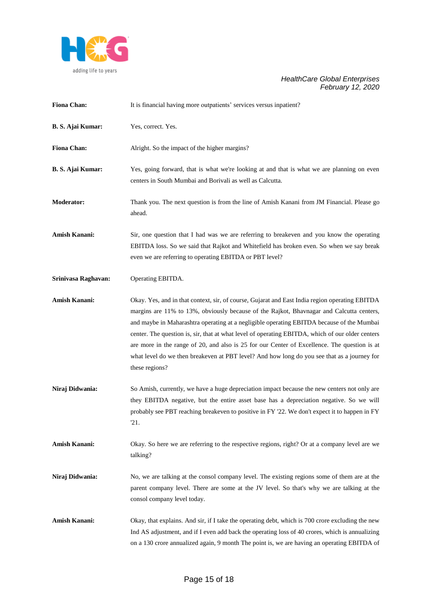

| <b>Fiona Chan:</b>       | It is financial having more outpatients' services versus inpatient?                                                                                                                                                                                                                                                                                                                                                                                                                                                                                                                                          |
|--------------------------|--------------------------------------------------------------------------------------------------------------------------------------------------------------------------------------------------------------------------------------------------------------------------------------------------------------------------------------------------------------------------------------------------------------------------------------------------------------------------------------------------------------------------------------------------------------------------------------------------------------|
| <b>B. S. Ajai Kumar:</b> | Yes, correct. Yes.                                                                                                                                                                                                                                                                                                                                                                                                                                                                                                                                                                                           |
| <b>Fiona Chan:</b>       | Alright. So the impact of the higher margins?                                                                                                                                                                                                                                                                                                                                                                                                                                                                                                                                                                |
| <b>B. S. Ajai Kumar:</b> | Yes, going forward, that is what we're looking at and that is what we are planning on even<br>centers in South Mumbai and Borivali as well as Calcutta.                                                                                                                                                                                                                                                                                                                                                                                                                                                      |
| <b>Moderator:</b>        | Thank you. The next question is from the line of Amish Kanani from JM Financial. Please go<br>ahead.                                                                                                                                                                                                                                                                                                                                                                                                                                                                                                         |
| Amish Kanani:            | Sir, one question that I had was we are referring to breakeven and you know the operating<br>EBITDA loss. So we said that Rajkot and Whitefield has broken even. So when we say break<br>even we are referring to operating EBITDA or PBT level?                                                                                                                                                                                                                                                                                                                                                             |
| Srinivasa Raghavan:      | Operating EBITDA.                                                                                                                                                                                                                                                                                                                                                                                                                                                                                                                                                                                            |
| Amish Kanani:            | Okay. Yes, and in that context, sir, of course, Gujarat and East India region operating EBITDA<br>margins are 11% to 13%, obviously because of the Rajkot, Bhavnagar and Calcutta centers,<br>and maybe in Maharashtra operating at a negligible operating EBITDA because of the Mumbai<br>center. The question is, sir, that at what level of operating EBITDA, which of our older centers<br>are more in the range of 20, and also is 25 for our Center of Excellence. The question is at<br>what level do we then breakeven at PBT level? And how long do you see that as a journey for<br>these regions? |
| Niraj Didwania:          | So Amish, currently, we have a huge depreciation impact because the new centers not only are<br>they EBITDA negative, but the entire asset base has a depreciation negative. So we will<br>probably see PBT reaching breakeven to positive in FY '22. We don't expect it to happen in FY<br>'21.                                                                                                                                                                                                                                                                                                             |
| Amish Kanani:            | Okay. So here we are referring to the respective regions, right? Or at a company level are we<br>talking?                                                                                                                                                                                                                                                                                                                                                                                                                                                                                                    |
| Niraj Didwania:          | No, we are talking at the consol company level. The existing regions some of them are at the<br>parent company level. There are some at the JV level. So that's why we are talking at the<br>consol company level today.                                                                                                                                                                                                                                                                                                                                                                                     |
| Amish Kanani:            | Okay, that explains. And sir, if I take the operating debt, which is 700 crore excluding the new<br>Ind AS adjustment, and if I even add back the operating loss of 40 crores, which is annualizing<br>on a 130 crore annualized again, 9 month The point is, we are having an operating EBITDA of                                                                                                                                                                                                                                                                                                           |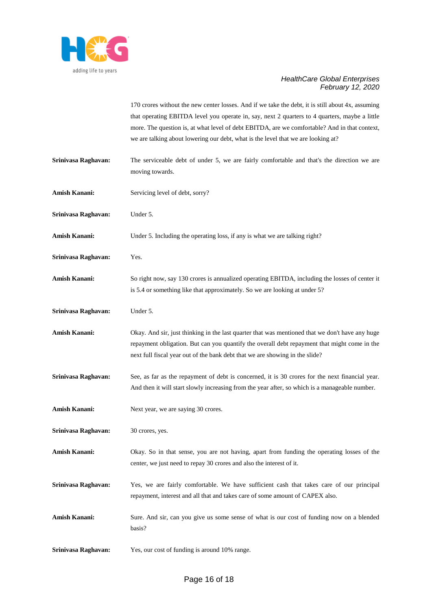

|                      | 170 crores without the new center losses. And if we take the debt, it is still about 4x, assuming<br>that operating EBITDA level you operate in, say, next 2 quarters to 4 quarters, maybe a little<br>more. The question is, at what level of debt EBITDA, are we comfortable? And in that context,<br>we are talking about lowering our debt, what is the level that we are looking at? |
|----------------------|-------------------------------------------------------------------------------------------------------------------------------------------------------------------------------------------------------------------------------------------------------------------------------------------------------------------------------------------------------------------------------------------|
| Srinivasa Raghavan:  | The serviceable debt of under 5, we are fairly comfortable and that's the direction we are<br>moving towards.                                                                                                                                                                                                                                                                             |
| <b>Amish Kanani:</b> | Servicing level of debt, sorry?                                                                                                                                                                                                                                                                                                                                                           |
| Srinivasa Raghavan:  | Under 5.                                                                                                                                                                                                                                                                                                                                                                                  |
| <b>Amish Kanani:</b> | Under 5. Including the operating loss, if any is what we are talking right?                                                                                                                                                                                                                                                                                                               |
| Srinivasa Raghavan:  | Yes.                                                                                                                                                                                                                                                                                                                                                                                      |
| <b>Amish Kanani:</b> | So right now, say 130 crores is annualized operating EBITDA, including the losses of center it<br>is 5.4 or something like that approximately. So we are looking at under 5?                                                                                                                                                                                                              |
| Srinivasa Raghavan:  | Under 5.                                                                                                                                                                                                                                                                                                                                                                                  |
| <b>Amish Kanani:</b> | Okay. And sir, just thinking in the last quarter that was mentioned that we don't have any huge<br>repayment obligation. But can you quantify the overall debt repayment that might come in the<br>next full fiscal year out of the bank debt that we are showing in the slide?                                                                                                           |
| Srinivasa Raghavan:  | See, as far as the repayment of debt is concerned, it is 30 crores for the next financial year.<br>And then it will start slowly increasing from the year after, so which is a manageable number.                                                                                                                                                                                         |
| Amish Kanani:        | Next year, we are saying 30 crores.                                                                                                                                                                                                                                                                                                                                                       |
| Srinivasa Raghavan:  | 30 crores, yes.                                                                                                                                                                                                                                                                                                                                                                           |
| <b>Amish Kanani:</b> | Okay. So in that sense, you are not having, apart from funding the operating losses of the<br>center, we just need to repay 30 crores and also the interest of it.                                                                                                                                                                                                                        |
| Srinivasa Raghavan:  | Yes, we are fairly comfortable. We have sufficient cash that takes care of our principal<br>repayment, interest and all that and takes care of some amount of CAPEX also.                                                                                                                                                                                                                 |
| <b>Amish Kanani:</b> | Sure. And sir, can you give us some sense of what is our cost of funding now on a blended<br>basis?                                                                                                                                                                                                                                                                                       |
| Srinivasa Raghavan:  | Yes, our cost of funding is around 10% range.                                                                                                                                                                                                                                                                                                                                             |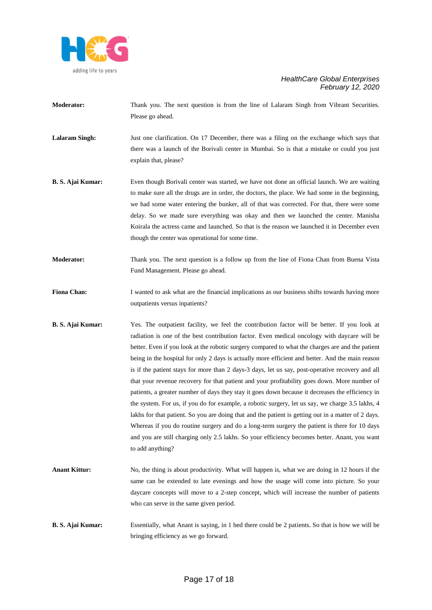

**Moderator:** Thank you. The next question is from the line of Lalaram Singh from Vibrant Securities. Please go ahead.

**Lalaram Singh:** Just one clarification. On 17 December, there was a filing on the exchange which says that there was a launch of the Borivali center in Mumbai. So is that a mistake or could you just explain that, please?

- **B. S. Ajai Kumar:** Even though Borivali center was started, we have not done an official launch. We are waiting to make sure all the drugs are in order, the doctors, the place. We had some in the beginning, we had some water entering the bunker, all of that was corrected. For that, there were some delay. So we made sure everything was okay and then we launched the center. Manisha Koirala the actress came and launched. So that is the reason we launched it in December even though the center was operational for some time.
- **Moderator:** Thank you. The next question is a follow up from the line of Fiona Chan from Buena Vista Fund Management. Please go ahead.
- **Fiona Chan:** I wanted to ask what are the financial implications as our business shifts towards having more outpatients versus inpatients?
- **B. S. Ajai Kumar:** Yes. The outpatient facility, we feel the contribution factor will be better. If you look at radiation is one of the best contribution factor. Even medical oncology with daycare will be better. Even if you look at the robotic surgery compared to what the charges are and the patient being in the hospital for only 2 days is actually more efficient and better. And the main reason is if the patient stays for more than 2 days-3 days, let us say, post-operative recovery and all that your revenue recovery for that patient and your profitability goes down. More number of patients, a greater number of days they stay it goes down because it decreases the efficiency in the system. For us, if you do for example, a robotic surgery, let us say, we charge 3.5 lakhs, 4 lakhs for that patient. So you are doing that and the patient is getting out in a matter of 2 days. Whereas if you do routine surgery and do a long-term surgery the patient is there for 10 days and you are still charging only 2.5 lakhs. So your efficiency becomes better. Anant, you want to add anything?
- **Anant Kittur:** No, the thing is about productivity. What will happen is, what we are doing in 12 hours if the same can be extended to late evenings and how the usage will come into picture. So your daycare concepts will move to a 2-step concept, which will increase the number of patients who can serve in the same given period.
- **B. S. Ajai Kumar:** Essentially, what Anant is saying, in 1 bed there could be 2 patients. So that is how we will be bringing efficiency as we go forward.